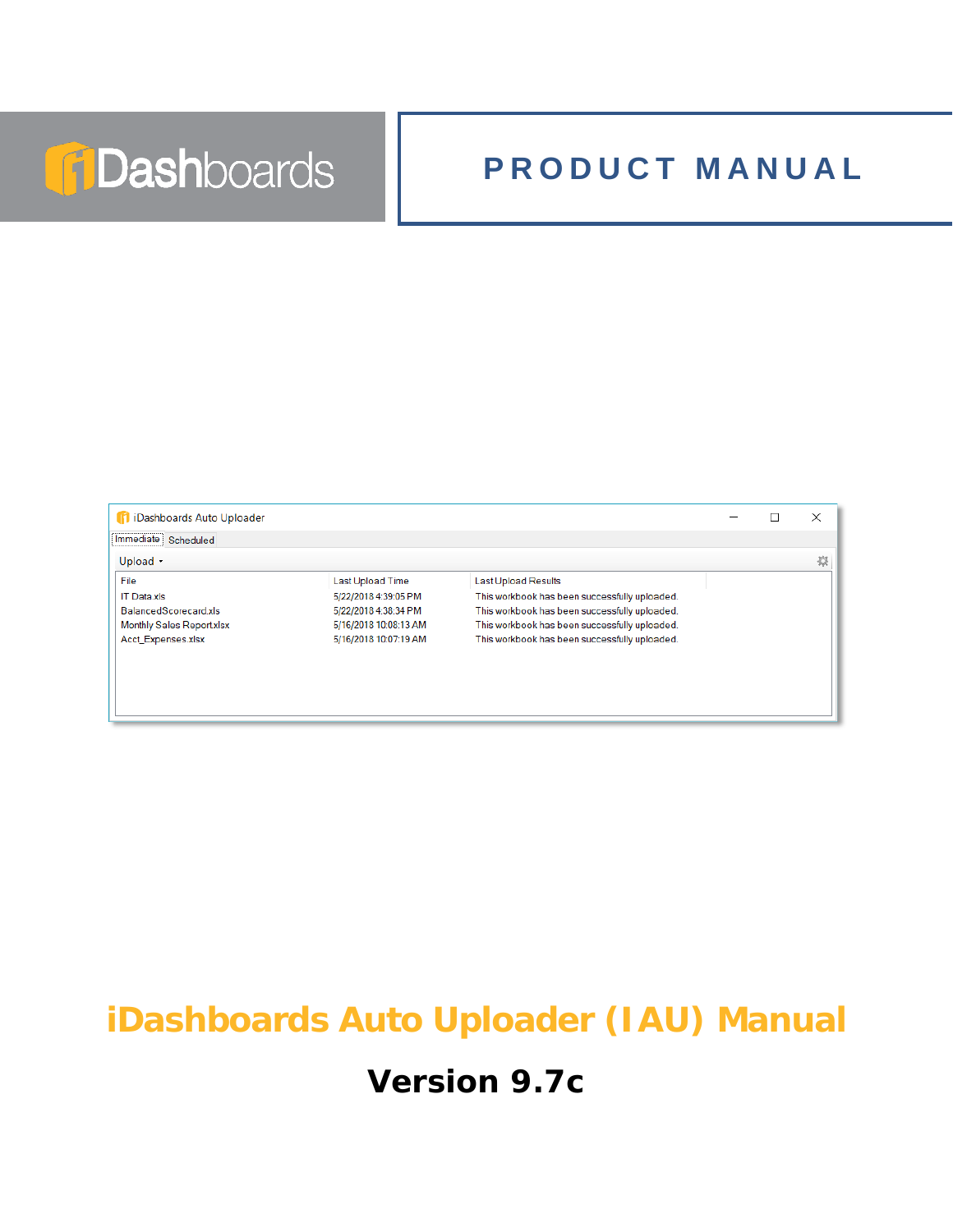# **TDashboards**

# **PRODUCT MANUAL**



# **iDashboards Auto Uploader (IAU) Manual**

# **Version 9.7c**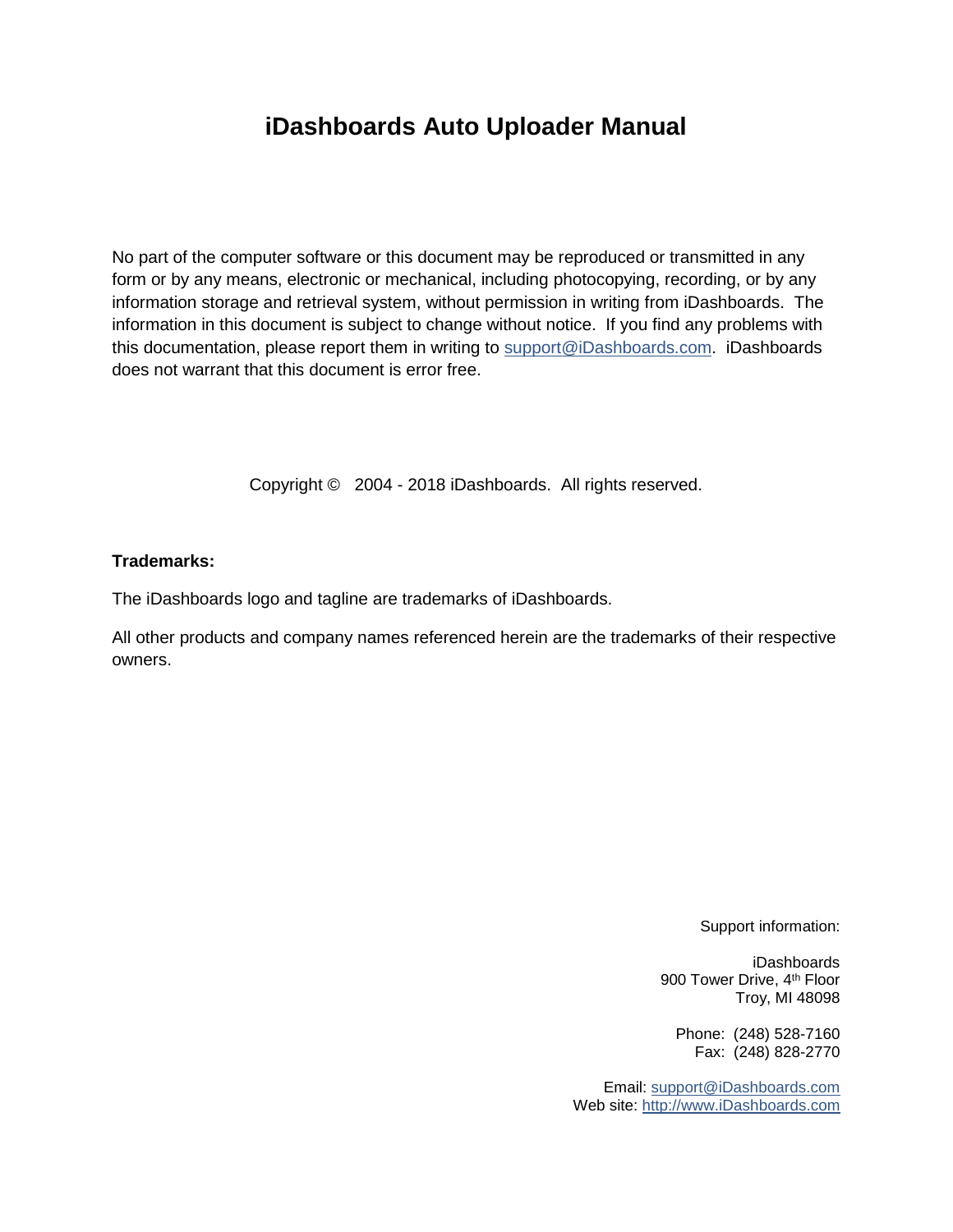### **iDashboards Auto Uploader Manual**

No part of the computer software or this document may be reproduced or transmitted in any form or by any means, electronic or mechanical, including photocopying, recording, or by any information storage and retrieval system, without permission in writing from iDashboards. The information in this document is subject to change without notice. If you find any problems with this documentation, please report them in writing to [support@iDashboards.com.](mailto:support@iDashboards.com) iDashboards does not warrant that this document is error free.

Copyright © 2004 - 2018 iDashboards. All rights reserved.

#### **Trademarks:**

The iDashboards logo and tagline are trademarks of iDashboards.

All other products and company names referenced herein are the trademarks of their respective owners.

Support information:

iDashboards 900 Tower Drive, 4<sup>th</sup> Floor Troy, MI 48098

Phone: (248) 528-7160 Fax: (248) 828-2770

Email: [support@iDashboards.com](mailto:support@iDashboards.com) Web site: [http://www.iDashboards.com](http://www.idashboards.com/)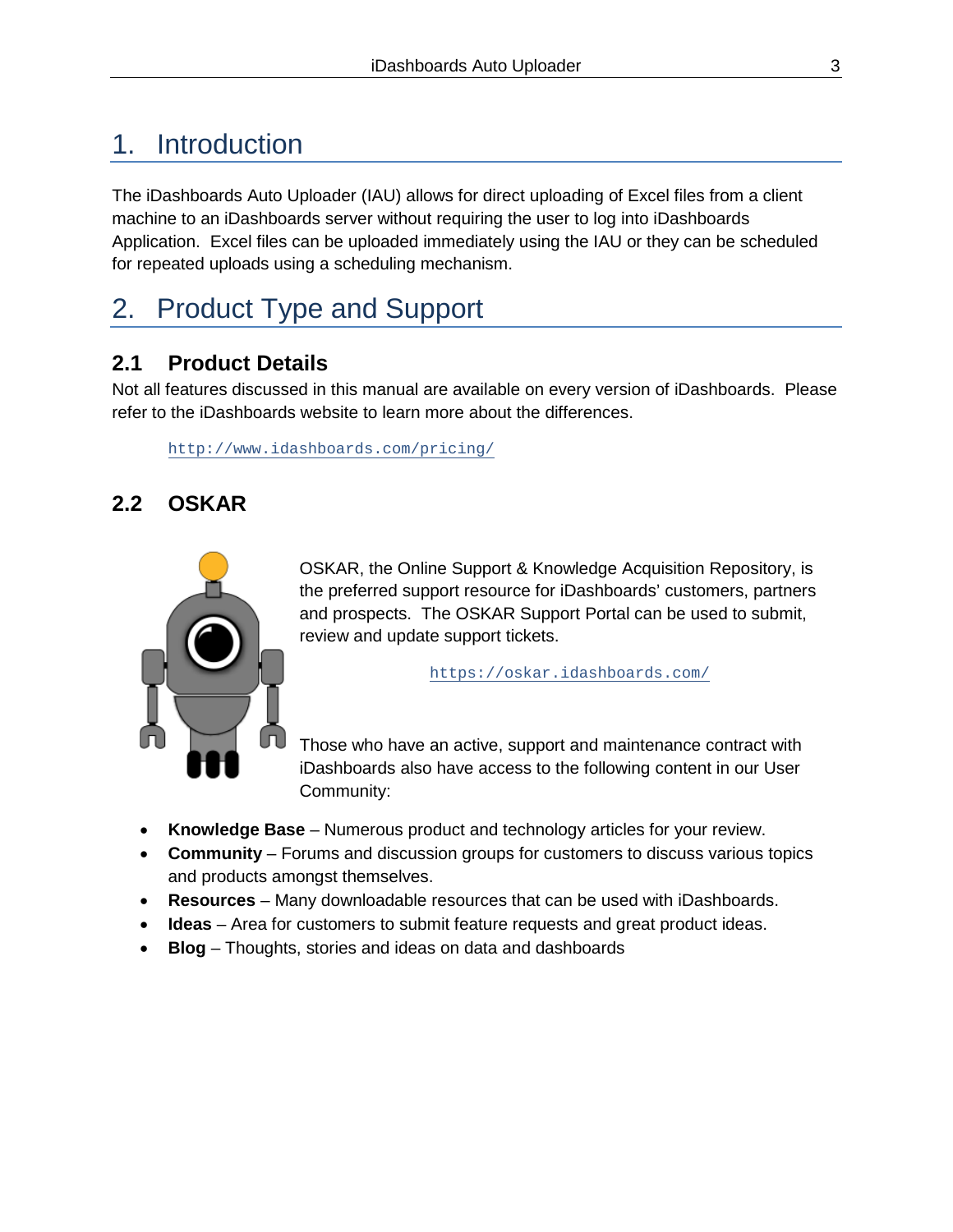### 1. Introduction

The iDashboards Auto Uploader (IAU) allows for direct uploading of Excel files from a client machine to an iDashboards server without requiring the user to log into iDashboards Application. Excel files can be uploaded immediately using the IAU or they can be scheduled for repeated uploads using a scheduling mechanism.

### 2. Product Type and Support

### **2.1 Product Details**

Not all features discussed in this manual are available on every version of iDashboards. Please refer to the iDashboards website to learn more about the differences.

<http://www.idashboards.com/pricing/>

### **2.2 OSKAR**



OSKAR, the Online Support & Knowledge Acquisition Repository, is the preferred support resource for iDashboards' customers, partners and prospects. The OSKAR Support Portal can be used to submit, review and update support tickets.

<https://oskar.idashboards.com/>

Those who have an active, support and maintenance contract with iDashboards also have access to the following content in our User Community:

- **Knowledge Base** Numerous product and technology articles for your review.
- **Community**  Forums and discussion groups for customers to discuss various topics and products amongst themselves.
- **Resources** Many downloadable resources that can be used with iDashboards.
- **Ideas** Area for customers to submit feature requests and great product ideas.
- **Blog**  Thoughts, stories and ideas on data and dashboards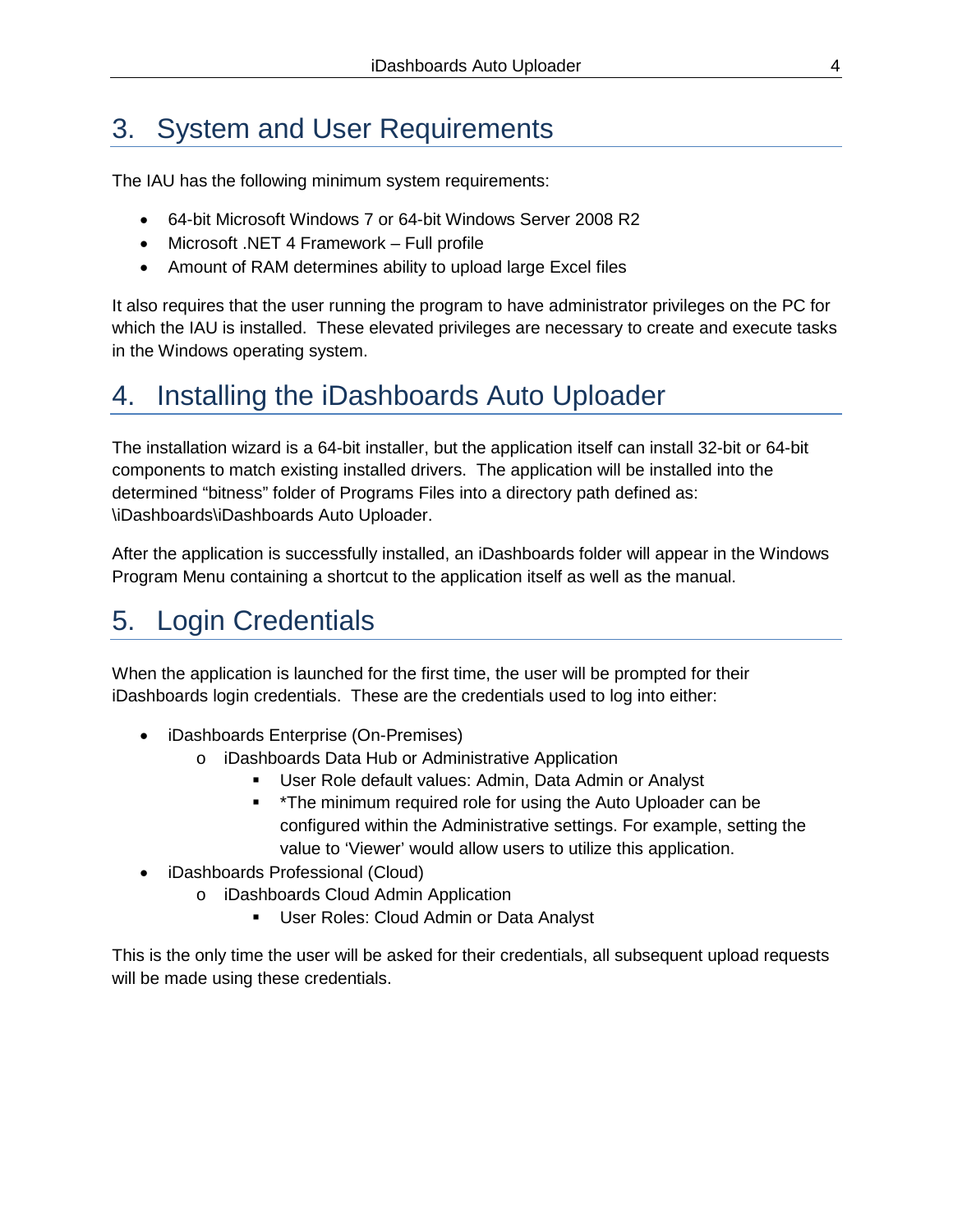# 3. System and User Requirements

The IAU has the following minimum system requirements:

- 64-bit Microsoft Windows 7 or 64-bit Windows Server 2008 R2
- Microsoft .NET 4 Framework Full profile
- Amount of RAM determines ability to upload large Excel files

It also requires that the user running the program to have administrator privileges on the PC for which the IAU is installed. These elevated privileges are necessary to create and execute tasks in the Windows operating system.

### 4. Installing the iDashboards Auto Uploader

The installation wizard is a 64-bit installer, but the application itself can install 32-bit or 64-bit components to match existing installed drivers. The application will be installed into the determined "bitness" folder of Programs Files into a directory path defined as: \iDashboards\iDashboards Auto Uploader.

After the application is successfully installed, an iDashboards folder will appear in the Windows Program Menu containing a shortcut to the application itself as well as the manual.

### 5. Login Credentials

When the application is launched for the first time, the user will be prompted for their iDashboards login credentials. These are the credentials used to log into either:

- iDashboards Enterprise (On-Premises)
	- o iDashboards Data Hub or Administrative Application
		- User Role default values: Admin, Data Admin or Analyst
		- \* \*The minimum required role for using the Auto Uploader can be configured within the Administrative settings. For example, setting the value to 'Viewer' would allow users to utilize this application.
- iDashboards Professional (Cloud)
	- o iDashboards Cloud Admin Application
		- **User Roles: Cloud Admin or Data Analyst**

This is the only time the user will be asked for their credentials, all subsequent upload requests will be made using these credentials.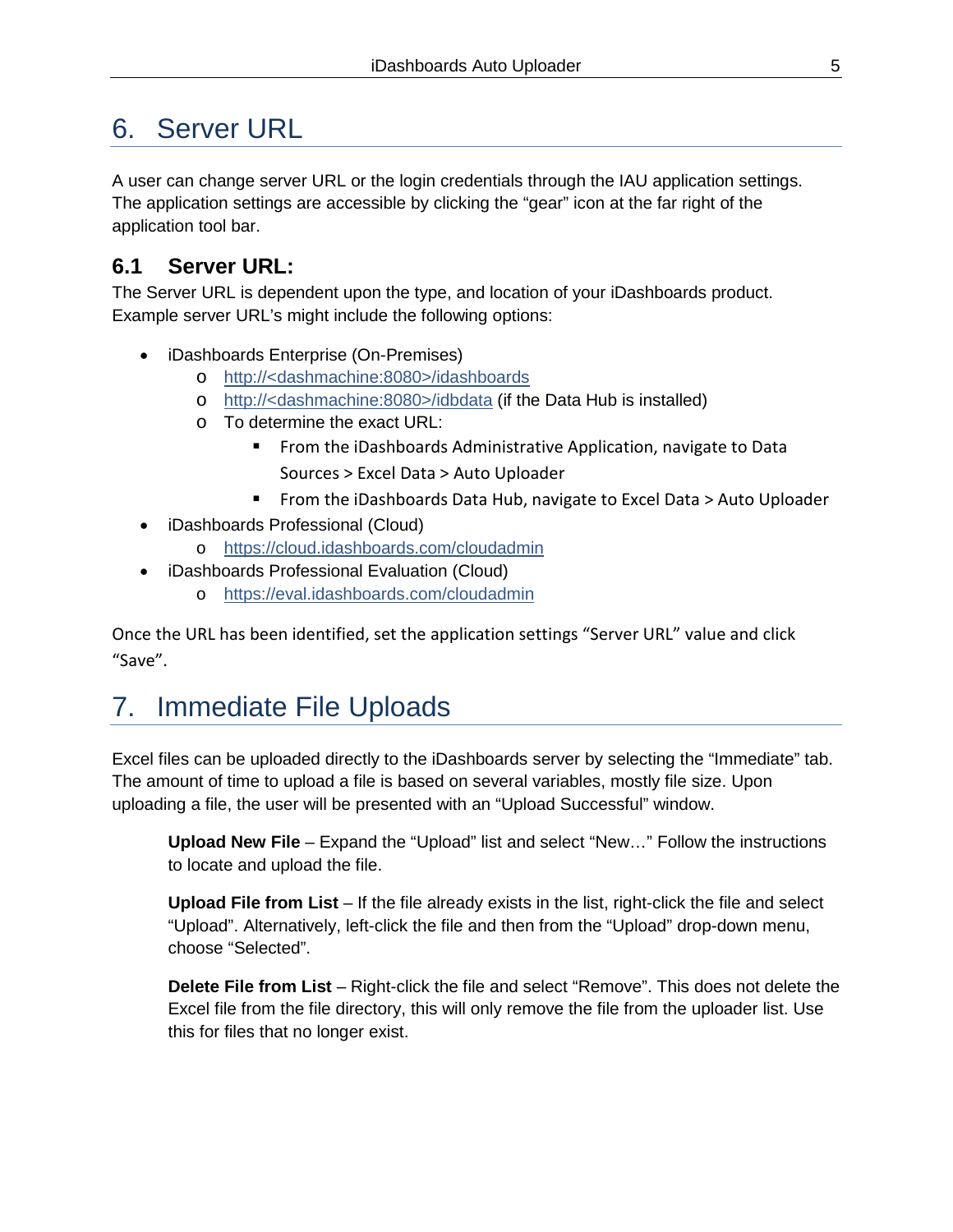### 6. Server URL

A user can change server URL or the login credentials through the IAU application settings. The application settings are accessible by clicking the "gear" icon at the far right of the application tool bar.

### **6.1 Server URL:**

The Server URL is dependent upon the type, and location of your iDashboards product. Example server URL's might include the following options:

- iDashboards Enterprise (On-Premises)
	- o http://<dashmachine:8080>/idashboards
	- o http://<dashmachine:8080>/idbdata (if the Data Hub is installed)
	- o To determine the exact URL:
		- **From the iDashboards Administrative Application, navigate to Data** Sources > Excel Data > Auto Uploader
		- From the iDashboards Data Hub, navigate to Excel Data > Auto Uploader
- iDashboards Professional (Cloud)
	- o <https://cloud.idashboards.com/cloudadmin>
- iDashboards Professional Evaluation (Cloud)
	- o <https://eval.idashboards.com/cloudadmin>

Once the URL has been identified, set the application settings "Server URL" value and click "Save".

# 7. Immediate File Uploads

Excel files can be uploaded directly to the iDashboards server by selecting the "Immediate" tab. The amount of time to upload a file is based on several variables, mostly file size. Upon uploading a file, the user will be presented with an "Upload Successful" window.

**Upload New File** – Expand the "Upload" list and select "New…" Follow the instructions to locate and upload the file.

**Upload File from List** – If the file already exists in the list, right-click the file and select "Upload". Alternatively, left-click the file and then from the "Upload" drop-down menu, choose "Selected".

**Delete File from List** – Right-click the file and select "Remove". This does not delete the Excel file from the file directory, this will only remove the file from the uploader list. Use this for files that no longer exist.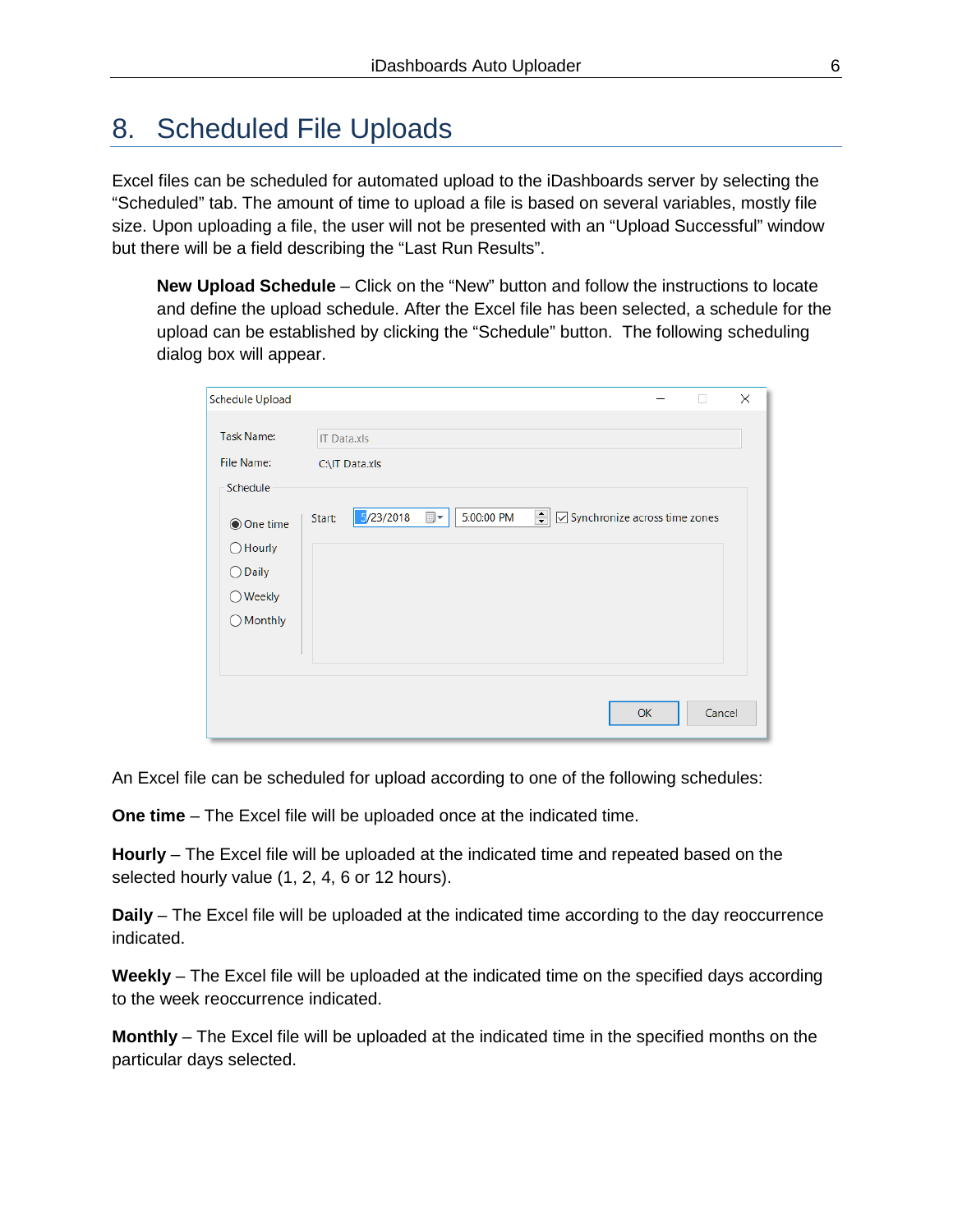### 8. Scheduled File Uploads

Excel files can be scheduled for automated upload to the iDashboards server by selecting the "Scheduled" tab. The amount of time to upload a file is based on several variables, mostly file size. Upon uploading a file, the user will not be presented with an "Upload Successful" window but there will be a field describing the "Last Run Results".

**New Upload Schedule** – Click on the "New" button and follow the instructions to locate and define the upload schedule. After the Excel file has been selected, a schedule for the upload can be established by clicking the "Schedule" button. The following scheduling dialog box will appear.

| <b>Schedule Upload</b>                                                                            |                                      |           |                              |  |                                                             | п      | $\times$ |  |
|---------------------------------------------------------------------------------------------------|--------------------------------------|-----------|------------------------------|--|-------------------------------------------------------------|--------|----------|--|
| <b>Task Name:</b><br>File Name:                                                                   | <b>IT Data.xls</b><br>C:\IT Data.xls |           |                              |  |                                                             |        |          |  |
| Schedule<br>◉ One time<br>$\bigcirc$ Hourly<br>◯ Daily<br>$\bigcirc$ Weekly<br>$\bigcirc$ Monthly | Start:                               | 5/23/2018 | 5:00:00 PM<br>$\blacksquare$ |  | $\leftarrow$ $\boxed{\smile}$ Synchronize across time zones |        |          |  |
|                                                                                                   |                                      |           |                              |  | OK                                                          | Cancel |          |  |

An Excel file can be scheduled for upload according to one of the following schedules:

**One time** – The Excel file will be uploaded once at the indicated time.

**Hourly** – The Excel file will be uploaded at the indicated time and repeated based on the selected hourly value (1, 2, 4, 6 or 12 hours).

**Daily** – The Excel file will be uploaded at the indicated time according to the day reoccurrence indicated.

**Weekly** – The Excel file will be uploaded at the indicated time on the specified days according to the week reoccurrence indicated.

**Monthly** – The Excel file will be uploaded at the indicated time in the specified months on the particular days selected.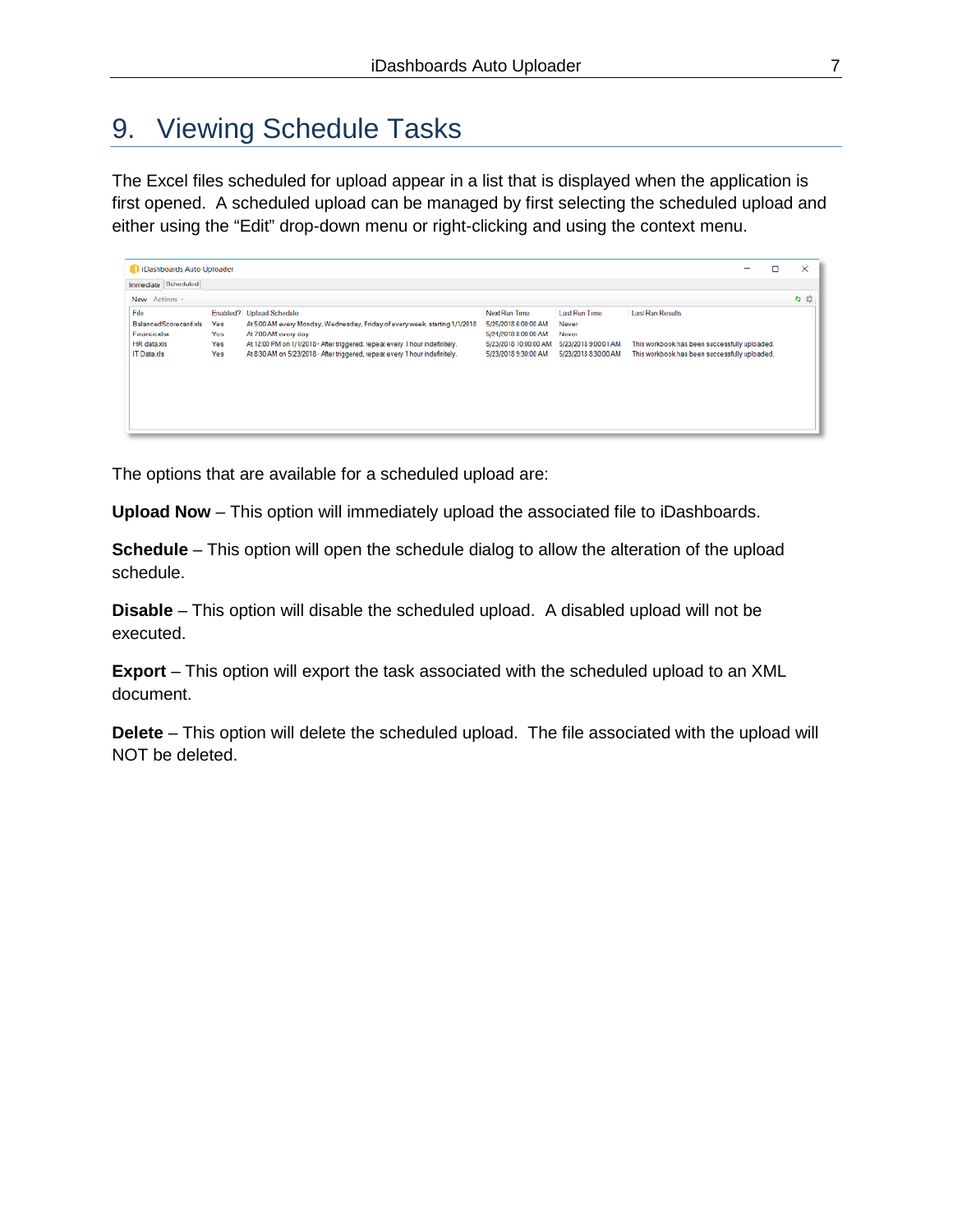### 9. Viewing Schedule Tasks

The Excel files scheduled for upload appear in a list that is displayed when the application is first opened. A scheduled upload can be managed by first selecting the scheduled upload and either using the "Edit" drop-down menu or right-clicking and using the context menu.

| <b>1</b> iDashboards Auto Uploader                                                 |                          |                                                                                                                                                                                                                                                                                                 |                                                                                                                |                                                                                        |                                                                                                                           | - |  | ×  |
|------------------------------------------------------------------------------------|--------------------------|-------------------------------------------------------------------------------------------------------------------------------------------------------------------------------------------------------------------------------------------------------------------------------------------------|----------------------------------------------------------------------------------------------------------------|----------------------------------------------------------------------------------------|---------------------------------------------------------------------------------------------------------------------------|---|--|----|
| Immediate Scheduled                                                                |                          |                                                                                                                                                                                                                                                                                                 |                                                                                                                |                                                                                        |                                                                                                                           |   |  |    |
| New Actions -                                                                      |                          |                                                                                                                                                                                                                                                                                                 |                                                                                                                |                                                                                        |                                                                                                                           |   |  | な様 |
| File<br>BalancedScorecard.xls<br>Finance xlsx<br>HR data.xls<br><b>IT Data xls</b> | Yes<br>Yes<br>Yes<br>Yes | Enabled? Upload Schedule<br>At 5:00 AM every Monday, Wednesday, Friday of every week, starting 1/1/2018<br>At 7:00 AM every day<br>At 12:00 PM on 1/1/2018 - After triggered, repeat every 1 hour indefinitely.<br>At 8:30 AM on 5/23/2018 - After triggered, repeat every 1 hour indefinitely. | Next Run Time<br>5/25/2018 6:00:00 AM<br>5/24/2018 8:00:00 AM<br>5/23/2018 10:00:00 AM<br>5/23/2018 9:30:00 AM | <b>Last Run Time</b><br>Never<br>Never<br>5/23/2018 9:00:01 AM<br>5/23/2018 8:30:00 AM | <b>Last Run Results</b><br>This workbook has been successfully uploaded.<br>This workbook has been successfully uploaded. |   |  |    |

The options that are available for a scheduled upload are:

**Upload Now** – This option will immediately upload the associated file to iDashboards.

**Schedule** – This option will open the schedule dialog to allow the alteration of the upload schedule.

**Disable** – This option will disable the scheduled upload. A disabled upload will not be executed.

**Export** – This option will export the task associated with the scheduled upload to an XML document.

**Delete** – This option will delete the scheduled upload. The file associated with the upload will NOT be deleted.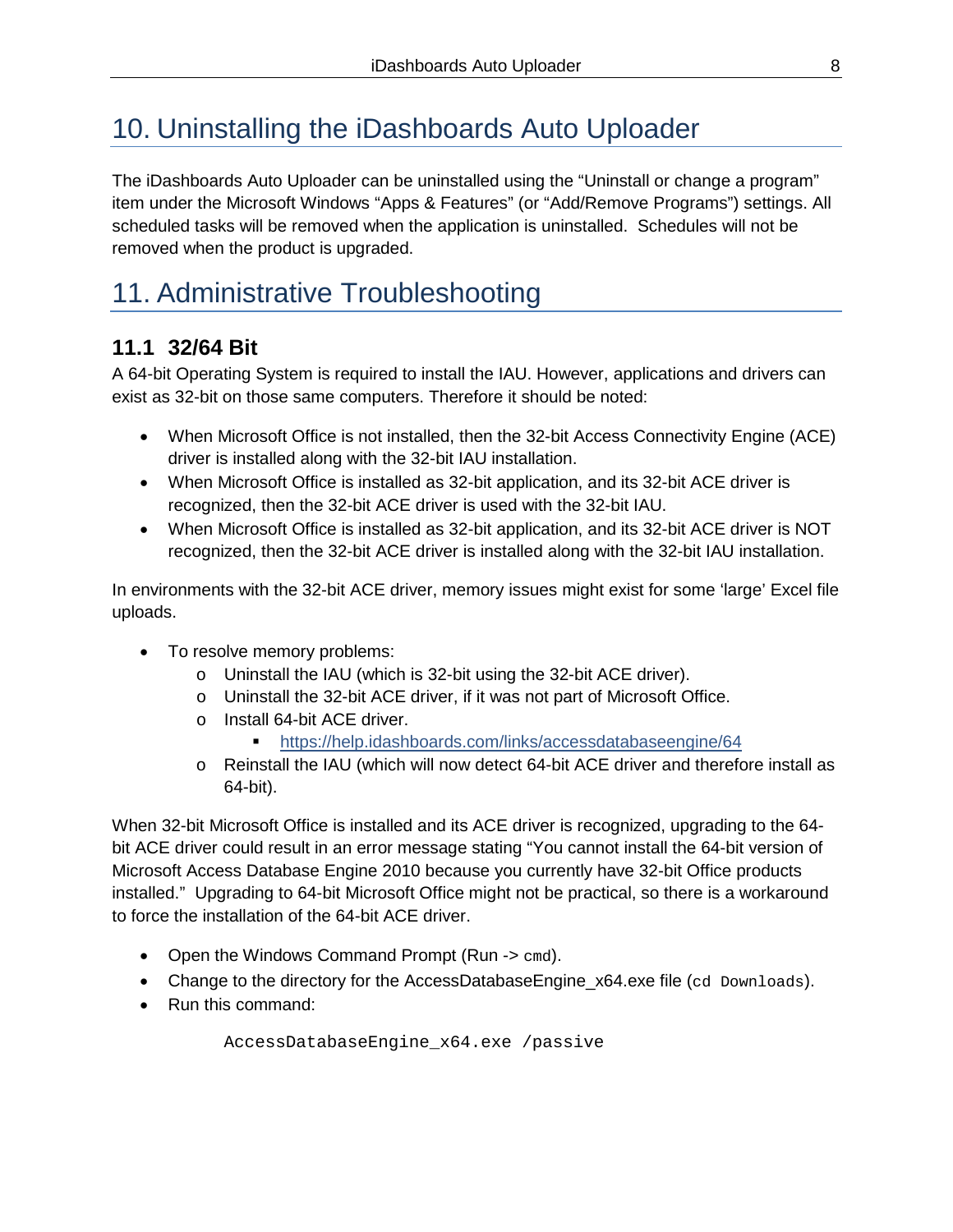# 10. Uninstalling the iDashboards Auto Uploader

The iDashboards Auto Uploader can be uninstalled using the "Uninstall or change a program" item under the Microsoft Windows "Apps & Features" (or "Add/Remove Programs") settings. All scheduled tasks will be removed when the application is uninstalled. Schedules will not be removed when the product is upgraded.

### 11. Administrative Troubleshooting

### **11.1 32/64 Bit**

A 64-bit Operating System is required to install the IAU. However, applications and drivers can exist as 32-bit on those same computers. Therefore it should be noted:

- When Microsoft Office is not installed, then the 32-bit Access Connectivity Engine (ACE) driver is installed along with the 32-bit IAU installation.
- When Microsoft Office is installed as 32-bit application, and its 32-bit ACE driver is recognized, then the 32-bit ACE driver is used with the 32-bit IAU.
- When Microsoft Office is installed as 32-bit application, and its 32-bit ACE driver is NOT recognized, then the 32-bit ACE driver is installed along with the 32-bit IAU installation.

In environments with the 32-bit ACE driver, memory issues might exist for some 'large' Excel file uploads.

- To resolve memory problems:
	- o Uninstall the IAU (which is 32-bit using the 32-bit ACE driver).
	- o Uninstall the 32-bit ACE driver, if it was not part of Microsoft Office.
	- o Install 64-bit ACE driver.

<https://help.idashboards.com/links/accessdatabaseengine/64>

o Reinstall the IAU (which will now detect 64-bit ACE driver and therefore install as 64-bit).

When 32-bit Microsoft Office is installed and its ACE driver is recognized, upgrading to the 64 bit ACE driver could result in an error message stating "You cannot install the 64-bit version of Microsoft Access Database Engine 2010 because you currently have 32-bit Office products installed." Upgrading to 64-bit Microsoft Office might not be practical, so there is a workaround to force the installation of the 64-bit ACE driver.

- Open the Windows Command Prompt (Run  $\rightarrow$  cmd).
- Change to the directory for the AccessDatabaseEngine\_x64.exe file (cd Downloads).
- Run this command:

AccessDatabaseEngine\_x64.exe /passive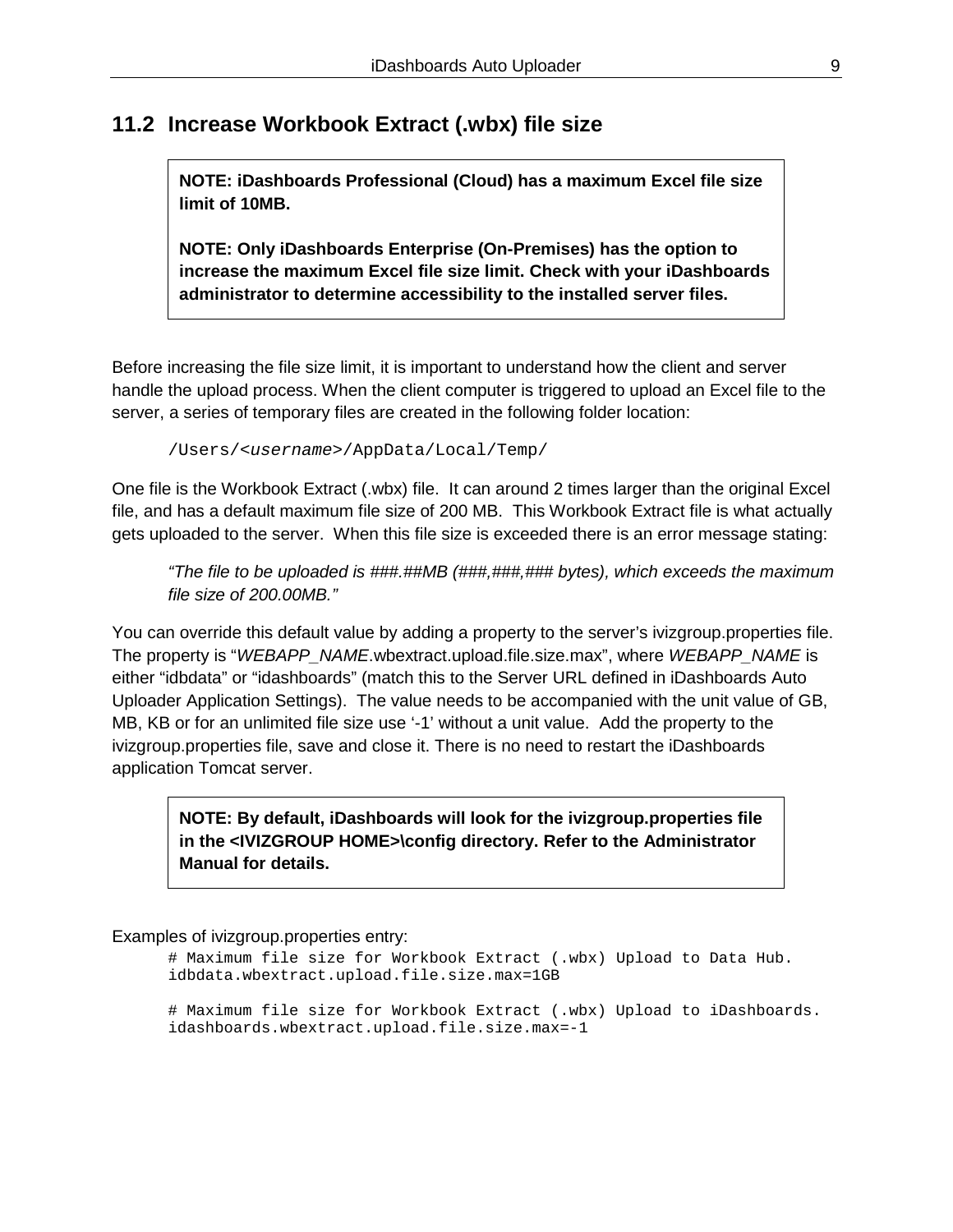### **11.2 Increase Workbook Extract (.wbx) file size**

**NOTE: iDashboards Professional (Cloud) has a maximum Excel file size limit of 10MB.** 

**NOTE: Only iDashboards Enterprise (On-Premises) has the option to increase the maximum Excel file size limit. Check with your iDashboards administrator to determine accessibility to the installed server files.**

Before increasing the file size limit, it is important to understand how the client and server handle the upload process. When the client computer is triggered to upload an Excel file to the server, a series of temporary files are created in the following folder location:

/Users/*<username>*/AppData/Local/Temp/

One file is the Workbook Extract (.wbx) file. It can around 2 times larger than the original Excel file, and has a default maximum file size of 200 MB. This Workbook Extract file is what actually gets uploaded to the server. When this file size is exceeded there is an error message stating:

*"The file to be uploaded is ###.##MB (###,###,### bytes), which exceeds the maximum file size of 200.00MB."* 

You can override this default value by adding a property to the server's ivizgroup.properties file. The property is "*WEBAPP\_NAME*.wbextract.upload.file.size.max", where *WEBAPP\_NAME* is either "idbdata" or "idashboards" (match this to the Server URL defined in iDashboards Auto Uploader Application Settings). The value needs to be accompanied with the unit value of GB, MB, KB or for an unlimited file size use '-1' without a unit value. Add the property to the ivizgroup.properties file, save and close it. There is no need to restart the iDashboards application Tomcat server.

**NOTE: By default, iDashboards will look for the ivizgroup.properties file in the <IVIZGROUP HOME>\config directory. Refer to the Administrator Manual for details.**

Examples of ivizgroup.properties entry:

# Maximum file size for Workbook Extract (.wbx) Upload to Data Hub. idbdata.wbextract.upload.file.size.max=1GB

# Maximum file size for Workbook Extract (.wbx) Upload to iDashboards. idashboards.wbextract.upload.file.size.max=-1